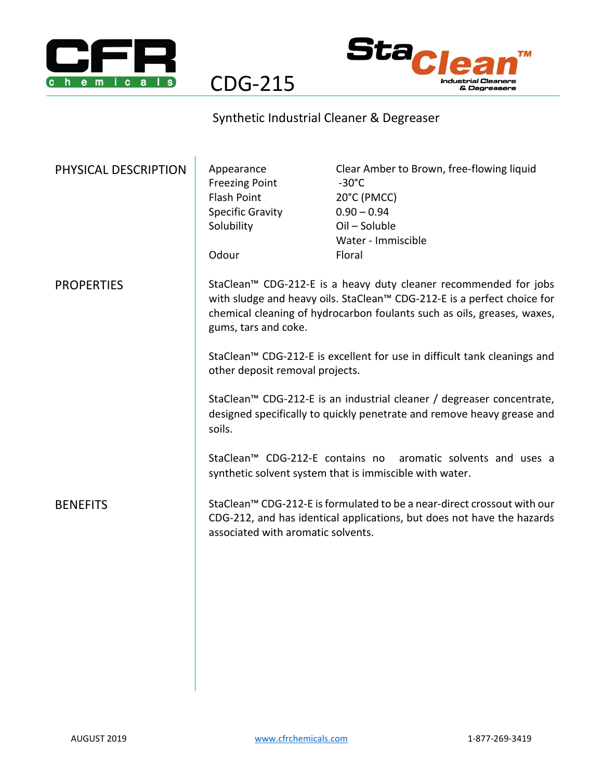



CDG-215

## Synthetic Industrial Cleaner & Degreaser

| PHYSICAL DESCRIPTION | Appearance<br><b>Freezing Point</b><br><b>Flash Point</b><br><b>Specific Gravity</b><br>Solubility<br>Odour                                                                                                                                    | Clear Amber to Brown, free-flowing liquid<br>$-30^{\circ}$ C<br>20°C (PMCC)<br>$0.90 - 0.94$<br>Oil - Soluble<br>Water - Immiscible<br>Floral |
|----------------------|------------------------------------------------------------------------------------------------------------------------------------------------------------------------------------------------------------------------------------------------|-----------------------------------------------------------------------------------------------------------------------------------------------|
| <b>PROPERTIES</b>    | StaClean™ CDG-212-E is a heavy duty cleaner recommended for jobs<br>with sludge and heavy oils. StaClean™ CDG-212-E is a perfect choice for<br>chemical cleaning of hydrocarbon foulants such as oils, greases, waxes,<br>gums, tars and coke. |                                                                                                                                               |
|                      | StaClean™ CDG-212-E is excellent for use in difficult tank cleanings and<br>other deposit removal projects.                                                                                                                                    |                                                                                                                                               |
|                      | StaClean <sup>™</sup> CDG-212-E is an industrial cleaner / degreaser concentrate,<br>designed specifically to quickly penetrate and remove heavy grease and<br>soils.                                                                          |                                                                                                                                               |
|                      | StaClean <sup>™</sup> CDG-212-E contains no aromatic solvents and uses a<br>synthetic solvent system that is immiscible with water.                                                                                                            |                                                                                                                                               |
| <b>BENEFITS</b>      | StaClean <sup>™</sup> CDG-212-E is formulated to be a near-direct crossout with our<br>CDG-212, and has identical applications, but does not have the hazards<br>associated with aromatic solvents.                                            |                                                                                                                                               |
|                      |                                                                                                                                                                                                                                                |                                                                                                                                               |
|                      |                                                                                                                                                                                                                                                |                                                                                                                                               |